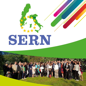# SERN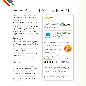# WHAT IS SERN?

SERN is the main transnational network in Europe fostering relations between Northern and Southern Europe and in particular between Sweden and Italy.

A non-profit transnational association, SERN has three characteristics that makes it unique:

- $\rightarrow$  It is the only bilateral network in the European Union that brings together actors from the Northern and Southern states.
- $\rightarrow$  It is a multilevel network where different levels of government interact and collaborate.
- $\rightarrow$  It is open to civil society and to private actors.

## $\mathscr{W}_{\kappa}$  objectives

The main purpose of the network is to promote and support its members in developing long-term relations and partnerships. The objectives of SERN are

- → To create mutual knowledge and know how between Italy and Sweden
- $\rightarrow$  To foster active citizenship and cultural enrichment and to achieve economic and social development.
- $\rightarrow$  To increase the quality of life and the opportunities for the citizens.

# $\mathscr{W}_{k}$ HISTORY

SERN is the result of a long-term process of cooperation and exchange between Italian and Swedish actors. The idea of strengthening the relations between the two areas was launched by AICCRE Emilia-Romagna and group of Italian municipalities in the summer of 2002. The constitutive phase of the SERN network ended in January 2005 with the formal beginning of the activities of the Network.

# **AWARDS** •

In 2018 SERN has been invited by the Italian Erasmus+ national agency INDIRE to present the KA2 project EQUAP as an example of best practice during the project coordinators meeting.





In 2018 the project Bags4Youth has been selected as best practice in the field of support to youth employment by the European Commission and presented at the European week of cities and regions.

In 2013 The Executive Agency for Audiovisual Education and Culture of the European Union

(EACEA) on the basis of the outstanding results obtained as project coordinator of the Comenius Network CREANET has invited SERN to address Comenius project coordinators on issues pertaining project management.





In 2012 the European Commission identified two projects MANTT and QLSE as two of the 25 cases of high quality projects implemented in the context of the Europe for Citizens Programme 2007-2013.

In 2010 the Swedish Embassy in Rome and the Italian Swedish Chamber of Commerce awarded the prize as Promoter of the year of Sweden in Italy to SERN as a result of the work carried out by the network in fostering the relations and links between the two countries.

In 2009 the European Commission identified SERN as best practice in the field of thematic networking and showcased at the General Assembly of CEMR.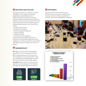

#### **W** MISSION AND VALUES

Our long-term values are: cooperation, common belonging to the EU, democracy and equal opportunities, responsibility and trust. Whitin the framework of reference in which members, together with the Secretariat, define the activities to carry out in the context of the network, values are the basis on which to build up projects and partnerships, together with 6 main driving themes:

- $\rightarrow$  learning and education
- → energy and environment
- → local and regional development
- $\rightarrow$  capacity building
- $\rightarrow$  health and welfare
- $\rightarrow$  social inclusion and migration.

These themes are intended to implement at local level the Europe 2020 strategy areas such as employment, innovation, education, social inclusion and climate/energy according to our values and mission.

## **W**MEMBERSHIP

**SE:** Regions, county councils, municipalities, associations of local and regional authorities.

**IT:** The regional governments, the provinces, the municipalities, the local authorities in their associated forms in Emilia-Romagna, as well as the same institutions of other Italian regions.

**SE and IT:** Subjects from the civil society who agree to the aims and purpose of the Network, including educational institutions at all levels.



#### **W** PARTNERS

Organisations from other countries in the European Union which want to establish more structured relations with the network and its members can become PARTNERS of the Network.



#### **NUMBERS OF PROJECTS FROM 2005 TO 2018**

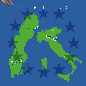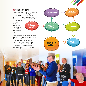#### $\mathscr{W}$ THE ORGANIZATION

The network consists of a General Assembly meeting every year and electing for a two-year-period an Executive Board which has the task to take the main strategic decisions about the Network. The Board

elects a Chair and Vice Chair. The Board appoints the Network Coordinator who is also the Director of the Secretariat. The SERN

GENERAL ASSEMBLY (annual)

Secretariat has the task to ensure the effectiveness of the work carried out in the priority areas, to foster the development of the network and to assist the members in establishing intra-network contacts. The Secretariat also supports the statutory bodies (Assembly, Executive Board, Chairperson, Presidium and Board of Auditors) in order to ensure an effective functioning of the association.

PRIORITY AREAS PROJECT GROUP **SECRETARIAT** THE PRESIDIUM SERVICHAIRMAN EXECUTIVE BOARD (22 representatives)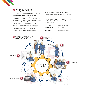#### **W** wORKING METHOD

The collaboration processes within the network can be of different types: Exchanges of information, experience, knowledge, best practices, staff exchanges, learning partnerships. Development of projects financed by its members; Development of projects financed by external funds such as national and/or EU. The development of new projects within the network is a strategic a process of collaboration between a number of members on a specific theme. The project cycle management model (P.C.M.) consists of several phases in a specific order.

SERN members can act as Project Promoter or can participate in a process initiated by another member.

New proposals from project promoters in SERN will be collected ONLY in three specific moments during the year:

| <b>FIRST SLOT</b>  | 15 January-15 February |
|--------------------|------------------------|
| <b>SECOND SLOT</b> | 1 June-30 June         |
| THIRD SLOT         | 15 October-15 November |

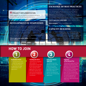#### $\mathscr{W}\!\!$  PROJECT IMPLEMENTATION

 SERN supports the development of relations among its members though the development of projects.

#### **DEVELOPMENT OF INNOVATION** Some examples: Evolaq; Bags4Youth; WIR

Projects under this category are addressed to the creation of one or more innovative products or methods through a research and development process of 2 or 3 years. Partnerships are composed by organisations from different countries, which collaborate by sharing their expertise, practices and competences. The activities include: participation to transnational meetings; study visits; training seminars; testing of the developed products and organisation of dissemination seminars.

Field of application within SERN: school education **Some examples: Creanet; Equap** 

#### **EXCHANGE OF BEST PRACTICES**

These kind of projects make it possible for organisations from different participating countries to work together and present, observe, share best practices. One of the objectives of these projects is to facilitate the transfer of practices and methodologies from one country to another. The activities usually foresee the participation to transnational thematic conferences, study visits and local networking. Field of application within SERN: welfare services, social issues and integration.

### **CAPACITY BUILDING**

 $\mathcal{L} = \mathcal{L} \times \mathcal{L}$ 

Since 2006 SERN has been working to improve the capacity of its members to tackle effectively the challenges posed by the participation in transnational processes of cooperation in the context of the European Union. More specifically, We have succesfully implemented training activities aimed at planning and managing European projects.

# **HOW TO JOIN**



#### **Application Form**

Download and fill in the membership application form. The form has to be signed by the legal representative of the

#### **Sending the form**

Send the form together with a letter of presentation to the Chair of the Executive Board . An e-version of the application form and of the letter shall be also sent to the Secretariat to the attention of Network Coordinator.

#### **Executive Board Approval**

The SERN executive Board normally meets three times a year, in January/February, April/May, and October/ November. When in session the Board will discuss the membership application.

# 1 (2) (3) (4

#### **Payment of the Annual Fee**

Following the approval of the request, the process of the payment of the membership fee shall be carried out within 30 days. If submitted in the second half of the year, the first membership fees are paid for the number of months equivalent to the period between the application date and the end of the year.